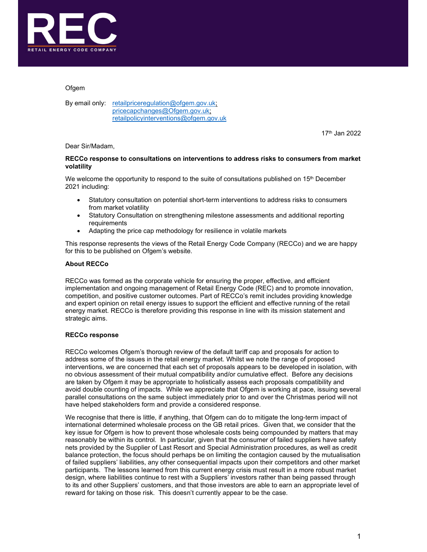

## **Ofgem**

By email only: retailpriceregulation@ofgem.gov.uk; pricecapchanges@Ofgem.gov.uk; retailpolicyinterventions@ofgem.gov.uk

 $17^{\text{th}}$  Jan 2022

#### Dear Sir/Madam,

## RECCo response to consultations on interventions to address risks to consumers from market volatility

We welcome the opportunity to respond to the suite of consultations published on  $15<sup>th</sup>$  December 2021 including:

- Statutory consultation on potential short-term interventions to address risks to consumers from market volatility
- Statutory Consultation on strengthening milestone assessments and additional reporting requirements
- Adapting the price cap methodology for resilience in volatile markets

This response represents the views of the Retail Energy Code Company (RECCo) and we are happy for this to be published on Ofgem's website.

### About RECCo

RECCo was formed as the corporate vehicle for ensuring the proper, effective, and efficient implementation and ongoing management of Retail Energy Code (REC) and to promote innovation, competition, and positive customer outcomes. Part of RECCo's remit includes providing knowledge and expert opinion on retail energy issues to support the efficient and effective running of the retail energy market. RECCo is therefore providing this response in line with its mission statement and strategic aims.

#### RECCo response

RECCo welcomes Ofgem's thorough review of the default tariff cap and proposals for action to address some of the issues in the retail energy market. Whilst we note the range of proposed interventions, we are concerned that each set of proposals appears to be developed in isolation, with no obvious assessment of their mutual compatibility and/or cumulative effect. Before any decisions are taken by Ofgem it may be appropriate to holistically assess each proposals compatibility and avoid double counting of impacts. While we appreciate that Ofgem is working at pace, issuing several parallel consultations on the same subject immediately prior to and over the Christmas period will not have helped stakeholders form and provide a considered response.

We recognise that there is little, if anything, that Ofgem can do to mitigate the long-term impact of international determined wholesale process on the GB retail prices. Given that, we consider that the key issue for Ofgem is how to prevent those wholesale costs being compounded by matters that may reasonably be within its control. In particular, given that the consumer of failed suppliers have safety nets provided by the Supplier of Last Resort and Special Administration procedures, as well as credit balance protection, the focus should perhaps be on limiting the contagion caused by the mutualisation of failed suppliers' liabilities, any other consequential impacts upon their competitors and other market participants. The lessons learned from this current energy crisis must result in a more robust market design, where liabilities continue to rest with a Suppliers' investors rather than being passed through to its and other Suppliers' customers, and that those investors are able to earn an appropriate level of reward for taking on those risk. This doesn't currently appear to be the case.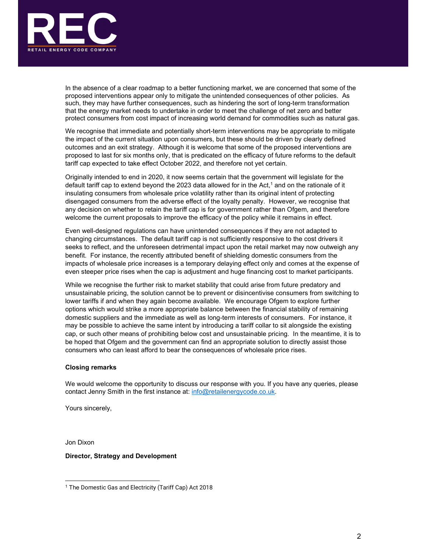

In the absence of a clear roadmap to a better functioning market, we are concerned that some of the proposed interventions appear only to mitigate the unintended consequences of other policies. As such, they may have further consequences, such as hindering the sort of long-term transformation that the energy market needs to undertake in order to meet the challenge of net zero and better protect consumers from cost impact of increasing world demand for commodities such as natural gas.

We recognise that immediate and potentially short-term interventions may be appropriate to mitigate the impact of the current situation upon consumers, but these should be driven by clearly defined outcomes and an exit strategy. Although it is welcome that some of the proposed interventions are proposed to last for six months only, that is predicated on the efficacy of future reforms to the default tariff cap expected to take effect October 2022, and therefore not yet certain.

Originally intended to end in 2020, it now seems certain that the government will legislate for the default tariff cap to extend beyond the 2023 data allowed for in the Act, $^{\rm 1}$  and on the rationale of it insulating consumers from wholesale price volatility rather than its original intent of protecting disengaged consumers from the adverse effect of the loyalty penalty. However, we recognise that any decision on whether to retain the tariff cap is for government rather than Ofgem, and therefore welcome the current proposals to improve the efficacy of the policy while it remains in effect.

Even well-designed regulations can have unintended consequences if they are not adapted to changing circumstances. The default tariff cap is not sufficiently responsive to the cost drivers it seeks to reflect, and the unforeseen detrimental impact upon the retail market may now outweigh any benefit. For instance, the recently attributed benefit of shielding domestic consumers from the impacts of wholesale price increases is a temporary delaying effect only and comes at the expense of even steeper price rises when the cap is adjustment and huge financing cost to market participants.

While we recognise the further risk to market stability that could arise from future predatory and unsustainable pricing, the solution cannot be to prevent or disincentivise consumers from switching to lower tariffs if and when they again become available. We encourage Ofgem to explore further options which would strike a more appropriate balance between the financial stability of remaining domestic suppliers and the immediate as well as long-term interests of consumers. For instance, it may be possible to achieve the same intent by introducing a tariff collar to sit alongside the existing cap, or such other means of prohibiting below cost and unsustainable pricing. In the meantime, it is to be hoped that Ofgem and the government can find an appropriate solution to directly assist those consumers who can least afford to bear the consequences of wholesale price rises.

#### Closing remarks

We would welcome the opportunity to discuss our response with you. If you have any queries, please contact Jenny Smith in the first instance at: **info@retailenergycode.co.uk.**<br>Yours sincerely,

Jon Dixon

#### Director, Strategy and Development

<sup>1</sup> The Domestic Gas and Electricity (Tariff Cap) Act 2018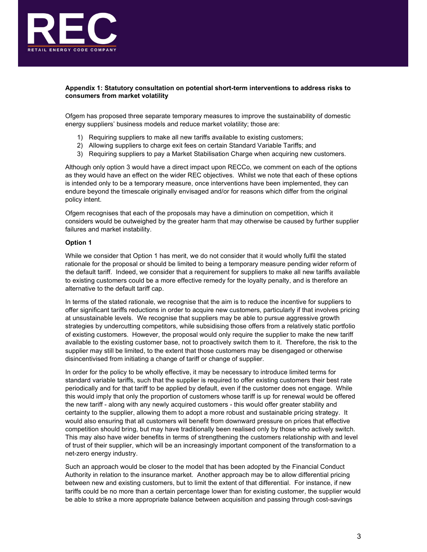

## Appendix 1: Statutory consultation on potential short-term interventions to address risks to consumers from market volatility

Ofgem has proposed three separate temporary measures to improve the sustainability of domestic energy suppliers' business models and reduce market volatility; those are:

- 1) Requiring suppliers to make all new tariffs available to existing customers;
- 2) Allowing suppliers to charge exit fees on certain Standard Variable Tariffs; and
- 3) Requiring suppliers to pay a Market Stabilisation Charge when acquiring new customers.

Although only option 3 would have a direct impact upon RECCo, we comment on each of the options as they would have an effect on the wider REC objectives. Whilst we note that each of these options is intended only to be a temporary measure, once interventions have been implemented, they can endure beyond the timescale originally envisaged and/or for reasons which differ from the original policy intent.

Ofgem recognises that each of the proposals may have a diminution on competition, which it considers would be outweighed by the greater harm that may otherwise be caused by further supplier failures and market instability.

## Option 1

While we consider that Option 1 has merit, we do not consider that it would wholly fulfil the stated rationale for the proposal or should be limited to being a temporary measure pending wider reform of the default tariff. Indeed, we consider that a requirement for suppliers to make all new tariffs available to existing customers could be a more effective remedy for the loyalty penalty, and is therefore an alternative to the default tariff cap.

In terms of the stated rationale, we recognise that the aim is to reduce the incentive for suppliers to offer significant tariffs reductions in order to acquire new customers, particularly if that involves pricing at unsustainable levels. We recognise that suppliers may be able to pursue aggressive growth strategies by undercutting competitors, while subsidising those offers from a relatively static portfolio of existing customers. However, the proposal would only require the supplier to make the new tariff available to the existing customer base, not to proactively switch them to it. Therefore, the risk to the supplier may still be limited, to the extent that those customers may be disengaged or otherwise disincentivised from initiating a change of tariff or change of supplier.

In order for the policy to be wholly effective, it may be necessary to introduce limited terms for standard variable tariffs, such that the supplier is required to offer existing customers their best rate periodically and for that tariff to be applied by default, even if the customer does not engage. While this would imply that only the proportion of customers whose tariff is up for renewal would be offered the new tariff - along with any newly acquired customers - this would offer greater stability and certainty to the supplier, allowing them to adopt a more robust and sustainable pricing strategy. It would also ensuring that all customers will benefit from downward pressure on prices that effective competition should bring, but may have traditionally been realised only by those who actively switch. This may also have wider benefits in terms of strengthening the customers relationship with and level of trust of their supplier, which will be an increasingly important component of the transformation to a net-zero energy industry.

Such an approach would be closer to the model that has been adopted by the Financial Conduct Authority in relation to the insurance market. Another approach may be to allow differential pricing between new and existing customers, but to limit the extent of that differential. For instance, if new tariffs could be no more than a certain percentage lower than for existing customer, the supplier would be able to strike a more appropriate balance between acquisition and passing through cost-savings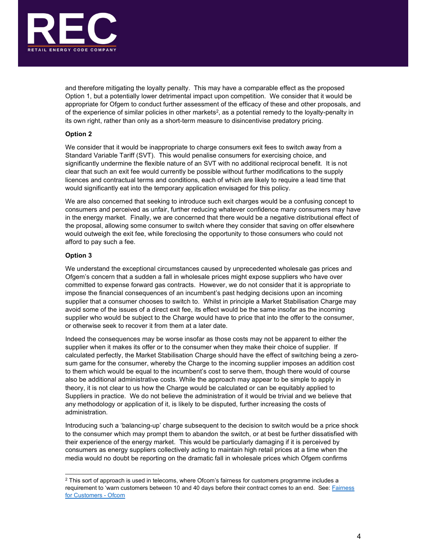

and therefore mitigating the loyalty penalty. This may have a comparable effect as the proposed Option 1, but a potentially lower detrimental impact upon competition. We consider that it would be appropriate for Ofgem to conduct further assessment of the efficacy of these and other proposals, and of the experience of similar policies in other markets<sup>2</sup>, as a potential remedy to the loyalty-penalty in its own right, rather than only as a short-term measure to disincentivise predatory pricing.

## Option 2

We consider that it would be inappropriate to charge consumers exit fees to switch away from a Standard Variable Tariff (SVT). This would penalise consumers for exercising choice, and significantly undermine the flexible nature of an SVT with no additional reciprocal benefit. It is not clear that such an exit fee would currently be possible without further modifications to the supply licences and contractual terms and conditions, each of which are likely to require a lead time that would significantly eat into the temporary application envisaged for this policy.

We are also concerned that seeking to introduce such exit charges would be a confusing concept to consumers and perceived as unfair, further reducing whatever confidence many consumers may have in the energy market. Finally, we are concerned that there would be a negative distributional effect of the proposal, allowing some consumer to switch where they consider that saving on offer elsewhere would outweigh the exit fee, while foreclosing the opportunity to those consumers who could not afford to pay such a fee.

#### Option 3

We understand the exceptional circumstances caused by unprecedented wholesale gas prices and Ofgem's concern that a sudden a fall in wholesale prices might expose suppliers who have over committed to expense forward gas contracts. However, we do not consider that it is appropriate to impose the financial consequences of an incumbent's past hedging decisions upon an incoming supplier that a consumer chooses to switch to. Whilst in principle a Market Stabilisation Charge may avoid some of the issues of a direct exit fee, its effect would be the same insofar as the incoming supplier who would be subject to the Charge would have to price that into the offer to the consumer, or otherwise seek to recover it from them at a later date.

Indeed the consequences may be worse insofar as those costs may not be apparent to either the supplier when it makes its offer or to the consumer when they make their choice of supplier. If calculated perfectly, the Market Stabilisation Charge should have the effect of switching being a zerosum game for the consumer, whereby the Charge to the incoming supplier imposes an addition cost to them which would be equal to the incumbent's cost to serve them, though there would of course also be additional administrative costs. While the approach may appear to be simple to apply in theory, it is not clear to us how the Charge would be calculated or can be equitably applied to Suppliers in practice. We do not believe the administration of it would be trivial and we believe that any methodology or application of it, is likely to be disputed, further increasing the costs of administration.

Introducing such a 'balancing-up' charge subsequent to the decision to switch would be a price shock to the consumer which may prompt them to abandon the switch, or at best be further dissatisfied with their experience of the energy market. This would be particularly damaging if it is perceived by consumers as energy suppliers collectively acting to maintain high retail prices at a time when the media would no doubt be reporting on the dramatic fall in wholesale prices which Ofgem confirms 2

 $2$  This sort of approach is used in telecoms, where Ofcom's fairness for customers programme includes a requirement to 'warn customers between 10 and 40 days before their contract comes to an end. See: Fairness for Customers - Ofcom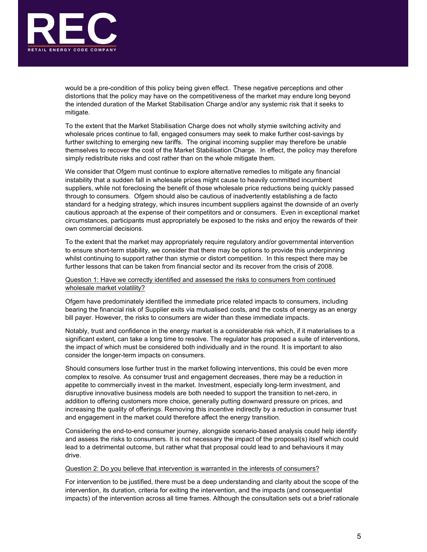

would be a pre-condition of this policy being given effect. These negative perceptions and other distortions that the policy may have on the competitiveness of the market may endure long beyond the intended duration of the Market Stabilisation Charge and/or any systemic risk that it seeks to mitigate.

To the extent that the Market Stabilisation Charge does not wholly stymie switching activity and wholesale prices continue to fall, engaged consumers may seek to make further cost-savings by further switching to emerging new tariffs. The original incoming supplier may therefore be unable themselves to recover the cost of the Market Stabilisation Charge. In effect, the policy may therefore simply redistribute risks and cost rather than on the whole mitigate them.

We consider that Ofgem must continue to explore alternative remedies to mitigate any financial instability that a sudden fall in wholesale prices might cause to heavily committed incumbent suppliers, while not foreclosing the benefit of those wholesale price reductions being quickly passed through to consumers. Ofgem should also be cautious of inadvertently establishing a de facto standard for a hedging strategy, which insures incumbent suppliers against the downside of an overly cautious approach at the expense of their competitors and or consumers. Even in exceptional market circumstances, participants must appropriately be exposed to the risks and enjoy the rewards of their own commercial decisions.

To the extent that the market may appropriately require regulatory and/or governmental intervention to ensure short-term stability, we consider that there may be options to provide this underpinning whilst continuing to support rather than stymie or distort competition. In this respect there may be further lessons that can be taken from financial sector and its recover from the crisis of 2008.

## Question 1: Have we correctly identified and assessed the risks to consumers from continued wholesale market volatility?

Ofgem have predominately identified the immediate price related impacts to consumers, including bearing the financial risk of Supplier exits via mutualised costs, and the costs of energy as an energy bill payer. However, the risks to consumers are wider than these immediate impacts.

Notably, trust and confidence in the energy market is a considerable risk which, if it materialises to a significant extent, can take a long time to resolve. The regulator has proposed a suite of interventions, the impact of which must be considered both individually and in the round. It is important to also consider the longer-term impacts on consumers.

Should consumers lose further trust in the market following interventions, this could be even more complex to resolve. As consumer trust and engagement decreases, there may be a reduction in appetite to commercially invest in the market. Investment, especially long-term investment, and disruptive innovative business models are both needed to support the transition to net-zero, in addition to offering customers more choice, generally putting downward pressure on prices, and increasing the quality of offerings. Removing this incentive indirectly by a reduction in consumer trust and engagement in the market could therefore affect the energy transition.

Considering the end-to-end consumer journey, alongside scenario-based analysis could help identify and assess the risks to consumers. It is not necessary the impact of the proposal(s) itself which could lead to a detrimental outcome, but rather what that proposal could lead to and behaviours it may drive.

#### Question 2: Do you believe that intervention is warranted in the interests of consumers?

For intervention to be justified, there must be a deep understanding and clarity about the scope of the intervention, its duration, criteria for exiting the intervention, and the impacts (and consequential impacts) of the intervention across all time frames. Although the consultation sets out a brief rationale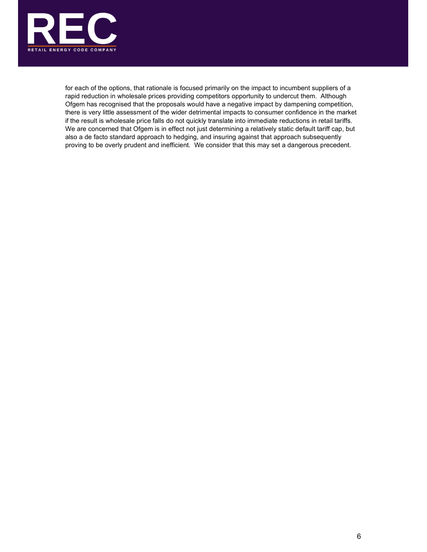

for each of the options, that rationale is focused primarily on the impact to incumbent suppliers of a rapid reduction in wholesale prices providing competitors opportunity to undercut them. Although Ofgem has recognised that the proposals would have a negative impact by dampening competition, there is very little assessment of the wider detrimental impacts to consumer confidence in the market if the result is wholesale price falls do not quickly translate into immediate reductions in retail tariffs. We are concerned that Ofgem is in effect not just determining a relatively static default tariff cap, but also a de facto standard approach to hedging, and insuring against that approach subsequently proving to be overly prudent and inefficient. We consider that this may set a dangerous precedent.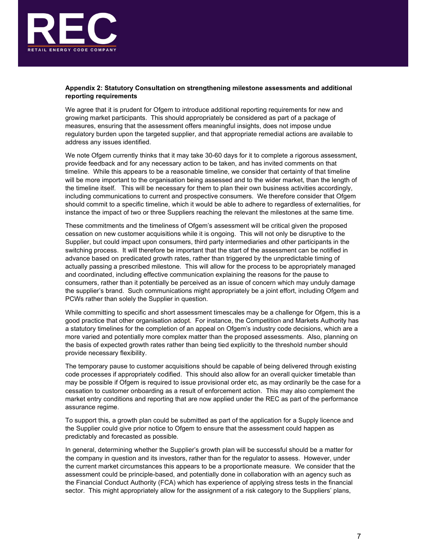

# Appendix 2: Statutory Consultation on strengthening milestone assessments and additional reporting requirements

We agree that it is prudent for Ofgem to introduce additional reporting requirements for new and growing market participants. This should appropriately be considered as part of a package of measures, ensuring that the assessment offers meaningful insights, does not impose undue regulatory burden upon the targeted supplier, and that appropriate remedial actions are available to address any issues identified.

We note Ofgem currently thinks that it may take 30-60 days for it to complete a rigorous assessment, provide feedback and for any necessary action to be taken, and has invited comments on that timeline. While this appears to be a reasonable timeline, we consider that certainty of that timeline will be more important to the organisation being assessed and to the wider market, than the length of the timeline itself. This will be necessary for them to plan their own business activities accordingly, including communications to current and prospective consumers. We therefore consider that Ofgem should commit to a specific timeline, which it would be able to adhere to regardless of externalities, for instance the impact of two or three Suppliers reaching the relevant the milestones at the same time.

These commitments and the timeliness of Ofgem's assessment will be critical given the proposed cessation on new customer acquisitions while it is ongoing. This will not only be disruptive to the Supplier, but could impact upon consumers, third party intermediaries and other participants in the switching process. It will therefore be important that the start of the assessment can be notified in advance based on predicated growth rates, rather than triggered by the unpredictable timing of actually passing a prescribed milestone. This will allow for the process to be appropriately managed and coordinated, including effective communication explaining the reasons for the pause to consumers, rather than it potentially be perceived as an issue of concern which may unduly damage the supplier's brand. Such communications might appropriately be a joint effort, including Ofgem and PCWs rather than solely the Supplier in question.

While committing to specific and short assessment timescales may be a challenge for Ofgem, this is a good practice that other organisation adopt. For instance, the Competition and Markets Authority has a statutory timelines for the completion of an appeal on Ofgem's industry code decisions, which are a more varied and potentially more complex matter than the proposed assessments. Also, planning on the basis of expected growth rates rather than being tied explicitly to the threshold number should provide necessary flexibility.

The temporary pause to customer acquisitions should be capable of being delivered through existing code processes if appropriately codified. This should also allow for an overall quicker timetable than may be possible if Ofgem is required to issue provisional order etc, as may ordinarily be the case for a cessation to customer onboarding as a result of enforcement action. This may also complement the market entry conditions and reporting that are now applied under the REC as part of the performance assurance regime.

To support this, a growth plan could be submitted as part of the application for a Supply licence and the Supplier could give prior notice to Ofgem to ensure that the assessment could happen as predictably and forecasted as possible.

In general, determining whether the Supplier's growth plan will be successful should be a matter for the company in question and its investors, rather than for the regulator to assess. However, under the current market circumstances this appears to be a proportionate measure. We consider that the assessment could be principle-based, and potentially done in collaboration with an agency such as the Financial Conduct Authority (FCA) which has experience of applying stress tests in the financial sector. This might appropriately allow for the assignment of a risk category to the Suppliers' plans,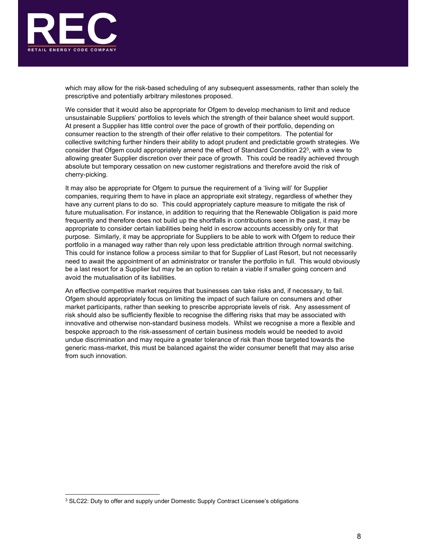

which may allow for the risk-based scheduling of any subsequent assessments, rather than solely the prescriptive and potentially arbitrary milestones proposed.

We consider that it would also be appropriate for Ofgem to develop mechanism to limit and reduce unsustainable Suppliers' portfolios to levels which the strength of their balance sheet would support. At present a Supplier has little control over the pace of growth of their portfolio, depending on consumer reaction to the strength of their offer relative to their competitors. The potential for collective switching further hinders their ability to adopt prudent and predictable growth strategies. We consider that Ofgem could appropriately amend the effect of Standard Condition 22 $^{\rm 3}$ , with a view to allowing greater Supplier discretion over their pace of growth. This could be readily achieved through absolute but temporary cessation on new customer registrations and therefore avoid the risk of cherry-picking.

It may also be appropriate for Ofgem to pursue the requirement of a 'living will' for Supplier companies, requiring them to have in place an appropriate exit strategy, regardless of whether they have any current plans to do so. This could appropriately capture measure to mitigate the risk of future mutualisation. For instance, in addition to requiring that the Renewable Obligation is paid more frequently and therefore does not build up the shortfalls in contributions seen in the past, it may be appropriate to consider certain liabilities being held in escrow accounts accessibly only for that purpose. Similarly, it may be appropriate for Suppliers to be able to work with Ofgem to reduce their portfolio in a managed way rather than rely upon less predictable attrition through normal switching. This could for instance follow a process similar to that for Supplier of Last Resort, but not necessarily need to await the appointment of an administrator or transfer the portfolio in full. This would obviously be a last resort for a Supplier but may be an option to retain a viable if smaller going concern and avoid the mutualisation of its liabilities.

An effective competitive market requires that businesses can take risks and, if necessary, to fail. Ofgem should appropriately focus on limiting the impact of such failure on consumers and other market participants, rather than seeking to prescribe appropriate levels of risk. Any assessment of risk should also be sufficiently flexible to recognise the differing risks that may be associated with innovative and otherwise non-standard business models. Whilst we recognise a more a flexible and bespoke approach to the risk-assessment of certain business models would be needed to avoid undue discrimination and may require a greater tolerance of risk than those targeted towards the generic mass-market, this must be balanced against the wider consumer benefit that may also arise from such innovation.

<sup>&</sup>lt;sup>3</sup> SLC22: Duty to offer and supply under Domestic Supply Contract Licensee's obligations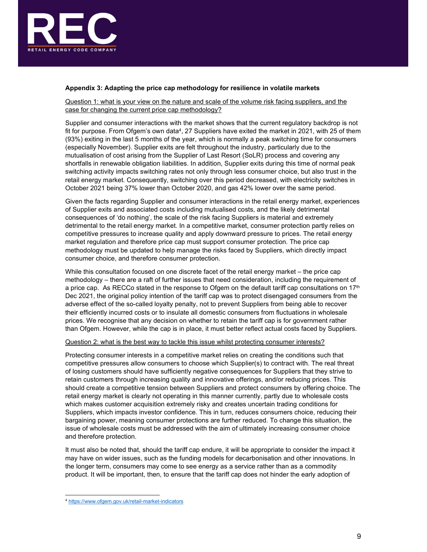

# Appendix 3: Adapting the price cap methodology for resilience in volatile markets

Question 1: what is your view on the nature and scale of the volume risk facing suppliers, and the case for changing the current price cap methodology?

Supplier and consumer interactions with the market shows that the current regulatory backdrop is not fit for purpose. From Ofgem's own data4 , 27 Suppliers have exited the market in 2021, with 25 of them (93%) exiting in the last 5 months of the year, which is normally a peak switching time for consumers (especially November). Supplier exits are felt throughout the industry, particularly due to the mutualisation of cost arising from the Supplier of Last Resort (SoLR) process and covering any shortfalls in renewable obligation liabilities. In addition, Supplier exits during this time of normal peak switching activity impacts switching rates not only through less consumer choice, but also trust in the retail energy market. Consequently, switching over this period decreased, with electricity switches in October 2021 being 37% lower than October 2020, and gas 42% lower over the same period.

Given the facts regarding Supplier and consumer interactions in the retail energy market, experiences of Supplier exits and associated costs including mutualised costs, and the likely detrimental consequences of 'do nothing', the scale of the risk facing Suppliers is material and extremely detrimental to the retail energy market. In a competitive market, consumer protection partly relies on competitive pressures to increase quality and apply downward pressure to prices. The retail energy market regulation and therefore price cap must support consumer protection. The price cap methodology must be updated to help manage the risks faced by Suppliers, which directly impact consumer choice, and therefore consumer protection.

While this consultation focused on one discrete facet of the retail energy market – the price cap methodology – there are a raft of further issues that need consideration, including the requirement of a price cap. As RECCo stated in the response to Ofgem on the default tariff cap consultations on 17<sup>th</sup> Dec 2021, the original policy intention of the tariff cap was to protect disengaged consumers from the adverse effect of the so-called loyalty penalty, not to prevent Suppliers from being able to recover their efficiently incurred costs or to insulate all domestic consumers from fluctuations in wholesale prices. We recognise that any decision on whether to retain the tariff cap is for government rather than Ofgem. However, while the cap is in place, it must better reflect actual costs faced by Suppliers.

#### Question 2: what is the best way to tackle this issue whilst protecting consumer interests?

Protecting consumer interests in a competitive market relies on creating the conditions such that competitive pressures allow consumers to choose which Supplier(s) to contract with. The real threat of losing customers should have sufficiently negative consequences for Suppliers that they strive to retain customers through increasing quality and innovative offerings, and/or reducing prices. This should create a competitive tension between Suppliers and protect consumers by offering choice. The retail energy market is clearly not operating in this manner currently, partly due to wholesale costs which makes customer acquisition extremely risky and creates uncertain trading conditions for Suppliers, which impacts investor confidence. This in turn, reduces consumers choice, reducing their bargaining power, meaning consumer protections are further reduced. To change this situation, the issue of wholesale costs must be addressed with the aim of ultimately increasing consumer choice and therefore protection.

It must also be noted that, should the tariff cap endure, it will be appropriate to consider the impact it may have on wider issues, such as the funding models for decarbonisation and other innovations. In the longer term, consumers may come to see energy as a service rather than as a commodity product. It will be important, then, to ensure that the tariff cap does not hinder the early adoption of 4

https://www.ofgem.gov.uk/retail-market-indicators